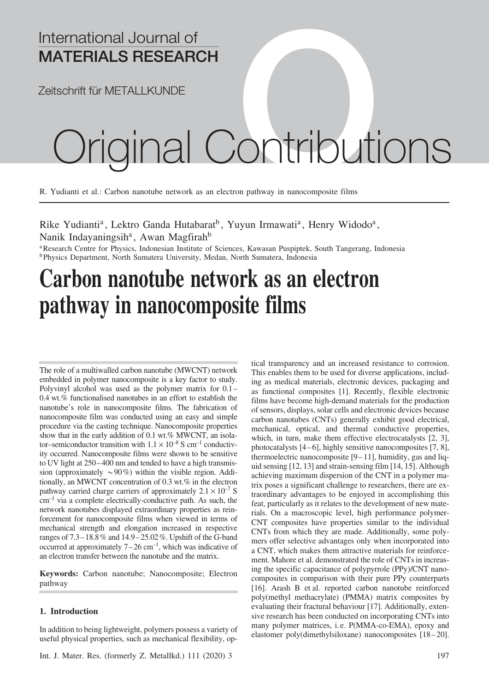## International Journal of MATERIALS RESEARCH

Zeitschrift für METALLKUNDE

# ternational Journal of<br>ATERIALS RESEARCH<br>Original Contributions

R. Yudianti et al.: Carbon nanotube network as an electron pathway in nanocomposite films

Rike Yudianti<sup>a</sup>, Lektro Ganda Hutabarat<sup>b</sup>, Yuyun Irmawati<sup>a</sup>, Henry Widodo<sup>a</sup>, Nanik Indayaningsih<sup>a</sup>, Awan Magfirah<sup>b</sup>

<sup>a</sup>Research Centre for Physics, Indonesian Institute of Sciences, Kawasan Puspiptek, South Tangerang, Indonesia **bPhysics Department, North Sumatera University, Medan, North Sumatera, Indonesia** 

# Carbon nanotube network as an electron pathway in nanocomposite films

The role of a multiwalled carbon nanotube (MWCNT) network embedded in polymer nanocomposite is a key factor to study. Polyvinyl alcohol was used as the polymer matrix for 0.1 – 0.4 wt.% functionalised nanotubes in an effort to establish the nanotube's role in nanocomposite films. The fabrication of nanocomposite film was conducted using an easy and simple procedure via the casting technique. Nanocomposite properties show that in the early addition of 0.1 wt.% MWCNT, an isolator–semiconductor transition with  $1.1 \times 10^{-8}$  S cm<sup>-1</sup> conductivity occurred. Nanocomposite films were shown to be sensitive to UV light at  $250 - 400$  nm and tended to have a high transmission (approximately  $\sim 90\%$ ) within the visible region. Additionally, an MWCNT concentration of 0.3 wt.% in the electron pathway carried charge carriers of approximately  $2.1 \times 10^{-7}$  S  $cm^{-1}$  via a complete electrically-conductive path. As such, the network nanotubes displayed extraordinary properties as reinforcement for nanocomposite films when viewed in terms of mechanical strength and elongation increased in respective ranges of 7.3 – 18.8% and 14.9 – 25.02%. Upshift of the G-band occurred at approximately  $7-26$  cm<sup>-1</sup>, which was indicative of an electron transfer between the nanotube and the matrix.

Keywords: Carbon nanotube; Nanocomposite; Electron pathway

### 1. Introduction

In addition to being lightweight, polymers possess a variety of useful physical properties, such as mechanical flexibility, optical transparency and an increased resistance to corrosion. This enables them to be used for diverse applications, including as medical materials, electronic devices, packaging and as functional composites [1]. Recently, flexible electronic films have become high-demand materials for the production of sensors, displays, solar cells and electronic devices because carbon nanotubes (CNTs) generally exhibit good electrical, mechanical, optical, and thermal conductive properties, which, in turn, make them effective electrocatalysts [2, 3], photocatalysts  $[4-6]$ , highly sensitive nanocomposites  $[7, 8]$ , thermoelectric nanocomposite  $[9-11]$ , humidity, gas and liquid sensing [12, 13] and strain-sensing film [14, 15]. Although achieving maximum dispersion of the CNT in a polymer matrix poses a significant challenge to researchers, there are extraordinary advantages to be enjoyed in accomplishing this feat, particularly as it relates to the development of new materials. On a macroscopic level, high performance polymer-CNT composites have properties similar to the individual CNTs from which they are made. Additionally, some polymers offer selective advantages only when incorporated into a CNT, which makes them attractive materials for reinforcement. Mahore et al. demonstrated the role of CNTs in increasing the specific capacitance of polypyrrole (PPy)/CNT nanocomposites in comparison with their pure PPy counterparts [16]. Arash B et al. reported carbon nanotube reinforced poly(methyl methacrylate) (PMMA) matrix composites by evaluating their fractural behaviour [17]. Additionally, extensive research has been conducted on incorporating CNTs into many polymer matrices, i. e. P(MMA-co-EMA), epoxy and elastomer poly(dimethylsiloxane) nanocomposites [18 – 20].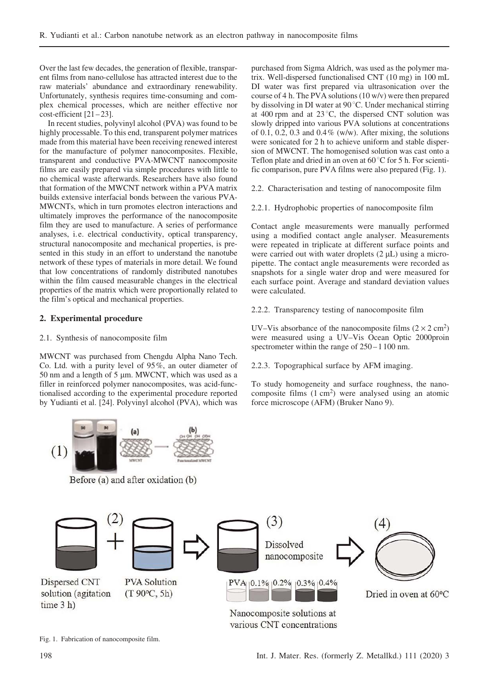Over the last few decades, the generation of flexible, transparent films from nano-cellulose has attracted interest due to the raw materials' abundance and extraordinary renewability. Unfortunately, synthesis requires time-consuming and complex chemical processes, which are neither effective nor  $cost\text{-}efficient [21 - 23].$ 

In recent studies, polyvinyl alcohol (PVA) was found to be highly processable. To this end, transparent polymer matrices made from this material have been receiving renewed interest for the manufacture of polymer nanocomposites. Flexible, transparent and conductive PVA-MWCNT nanocomposite films are easily prepared via simple procedures with little to no chemical waste afterwards. Researchers have also found that formation of the MWCNT network within a PVA matrix builds extensive interfacial bonds between the various PVA-MWCNTs, which in turn promotes electron interactions and ultimately improves the performance of the nanocomposite film they are used to manufacture. A series of performance analyses, i. e. electrical conductivity, optical transparency, structural nanocomposite and mechanical properties, is presented in this study in an effort to understand the nanotube network of these types of materials in more detail. We found that low concentrations of randomly distributed nanotubes within the film caused measurable changes in the electrical properties of the matrix which were proportionally related to the film's optical and mechanical properties.

### 2. Experimental procedure

### 2.1. Synthesis of nanocomposite film

MWCNT was purchased from Chengdu Alpha Nano Tech. Co. Ltd. with a purity level of 95%, an outer diameter of 50 nm and a length of 5  $\mu$ m. MWCNT, which was used as a filler in reinforced polymer nanocomposites, was acid-functionalised according to the experimental procedure reported by Yudianti et al. [24]. Polyvinyl alcohol (PVA), which was

 $(1)$ 

Before (a) and after oxidation (b)

purchased from Sigma Aldrich, was used as the polymer matrix. Well-dispersed functionalised CNT (10 mg) in 100 mL DI water was first prepared via ultrasonication over the course of 4 h. The PVA solutions (10 w/v) were then prepared by dissolving in DI water at 90 °C. Under mechanical stirring at 400 rpm and at  $23^{\circ}$ C, the dispersed CNT solution was slowly dripped into various PVA solutions at concentrations of 0.1, 0.2, 0.3 and 0.4% (w/w). After mixing, the solutions were sonicated for 2 h to achieve uniform and stable dispersion of MWCNT. The homogenised solution was cast onto a Teflon plate and dried in an oven at  $60^{\circ}$ C for 5 h. For scientific comparison, pure PVA films were also prepared (Fig. 1).

2.2. Characterisation and testing of nanocomposite film

2.2.1. Hydrophobic properties of nanocomposite film

Contact angle measurements were manually performed using a modified contact angle analyser. Measurements were repeated in triplicate at different surface points and were carried out with water droplets  $(2 \mu L)$  using a micropipette. The contact angle measurements were recorded as snapshots for a single water drop and were measured for each surface point. Average and standard deviation values were calculated.

2.2.2. Transparency testing of nanocomposite film

UV–Vis absorbance of the nanocomposite films  $(2 \times 2 \text{ cm}^2)$ were measured using a UV–Vis Ocean Optic 2000proin spectrometer within the range of  $250 - 1100$  nm.

2.2.3. Topographical surface by AFM imaging.

To study homogeneity and surface roughness, the nanocomposite films (1 cm<sup>2</sup>) were analysed using an atomic force microscope (AFM) (Bruker Nano 9).



various CNT concentrations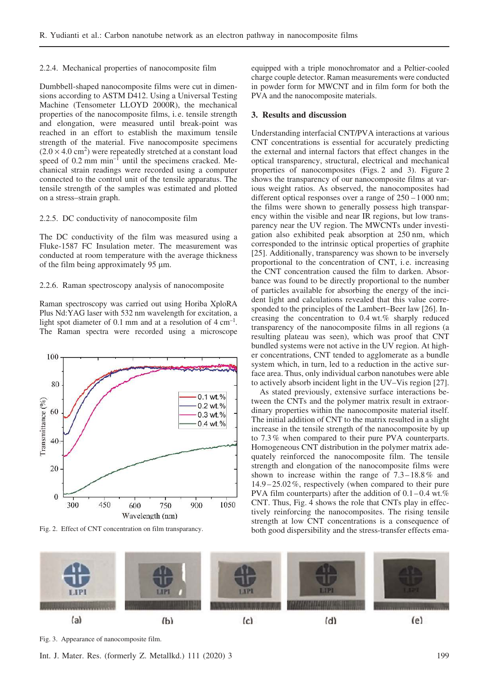### 2.2.4. Mechanical properties of nanocomposite film

Dumbbell-shaped nanocomposite films were cut in dimensions according to ASTM D412. Using a Universal Testing Machine (Tensometer LLOYD 2000R), the mechanical properties of the nanocomposite films, i. e. tensile strength and elongation, were measured until break-point was reached in an effort to establish the maximum tensile strength of the material. Five nanocomposite specimens  $(2.0 \times 4.0 \text{ cm}^2)$  were repeatedly stretched at a constant load speed of  $0.2$  mm min<sup>-1</sup> until the specimens cracked. Mechanical strain readings were recorded using a computer connected to the control unit of the tensile apparatus. The tensile strength of the samples was estimated and plotted on a stress–strain graph.

### 2.2.5. DC conductivity of nanocomposite film

The DC conductivity of the film was measured using a Fluke-1587 FC Insulation meter. The measurement was conducted at room temperature with the average thickness of the film being approximately 95  $\mu$ m.

### 2.2.6. Raman spectroscopy analysis of nanocomposite

Raman spectroscopy was carried out using Horiba XploRA Plus Nd:YAG laser with 532 nm wavelength for excitation, a light spot diameter of 0.1 mm and at a resolution of  $4 \text{ cm}^{-1}$ . The Raman spectra were recorded using a microscope



Fig. 2. Effect of CNT concentration on film transparancy.

equipped with a triple monochromator and a Peltier-cooled charge couple detector. Raman measurements were conducted in powder form for MWCNT and in film form for both the PVA and the nanocomposite materials.

### 3. Results and discussion

Understanding interfacial CNT/PVA interactions at various CNT concentrations is essential for accurately predicting the external and internal factors that effect changes in the optical transparency, structural, electrical and mechanical properties of nanocomposites (Figs. 2 and 3). Figure 2 shows the transparency of our nanocomposite films at various weight ratios. As observed, the nanocomposites had different optical responses over a range of  $250 - 1000$  nm; the films were shown to generally possess high transparency within the visible and near IR regions, but low transparency near the UV region. The MWCNTs under investigation also exhibited peak absorption at 250 nm, which corresponded to the intrinsic optical properties of graphite [25]. Additionally, transparency was shown to be inversely proportional to the concentration of CNT, i. e. increasing the CNT concentration caused the film to darken. Absorbance was found to be directly proportional to the number of particles available for absorbing the energy of the incident light and calculations revealed that this value corresponded to the principles of the Lambert–Beer law [26]. Increasing the concentration to 0.4 wt.% sharply reduced transparency of the nanocomposite films in all regions (a resulting plateau was seen), which was proof that CNT bundled systems were not active in the UV region. At higher concentrations, CNT tended to agglomerate as a bundle system which, in turn, led to a reduction in the active surface area. Thus, only individual carbon nanotubes were able to actively absorb incident light in the UV–Vis region [27].

As stated previously, extensive surface interactions between the CNTs and the polymer matrix result in extraordinary properties within the nanocomposite material itself. The initial addition of CNT to the matrix resulted in a slight increase in the tensile strength of the nanocomposite by up to 7.3% when compared to their pure PVA counterparts. Homogeneous CNT distribution in the polymer matrix adequately reinforced the nanocomposite film. The tensile strength and elongation of the nanocomposite films were shown to increase within the range of  $7.3 - 18.8\%$  and 14.9 – 25.02%, respectively (when compared to their pure PVA film counterparts) after the addition of  $0.1 - 0.4$  wt.% CNT. Thus, Fig. 4 shows the role that CNTs play in effectively reinforcing the nanocomposites. The rising tensile strength at low CNT concentrations is a consequence of both good dispersibility and the stress-transfer effects ema-



Fig. 3. Appearance of nanocomposite film.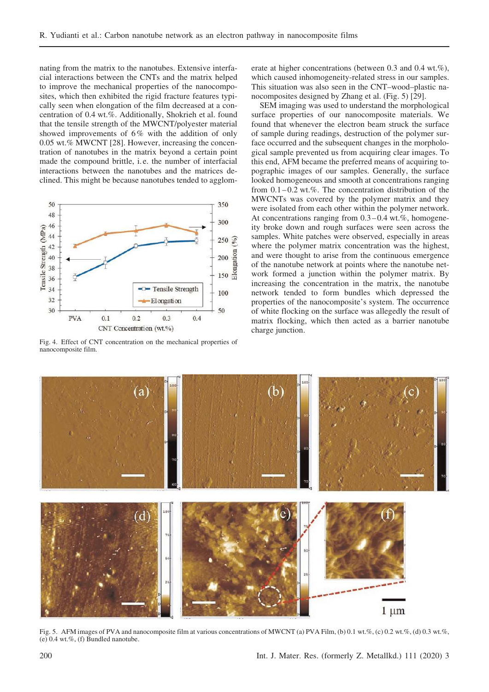nating from the matrix to the nanotubes. Extensive interfacial interactions between the CNTs and the matrix helped to improve the mechanical properties of the nanocomposites, which then exhibited the rigid fracture features typically seen when elongation of the film decreased at a concentration of 0.4 wt.%. Additionally, Shokrieh et al. found that the tensile strength of the MWCNT/polyester material showed improvements of 6% with the addition of only 0.05 wt.% MWCNT [28]. However, increasing the concentration of nanotubes in the matrix beyond a certain point made the compound brittle, i. e. the number of interfacial interactions between the nanotubes and the matrices declined. This might be because nanotubes tended to agglom-



Fig. 4. Effect of CNT concentration on the mechanical properties of nanocomposite film.

erate at higher concentrations (between 0.3 and 0.4 wt.%), which caused inhomogeneity-related stress in our samples. This situation was also seen in the CNT–wood–plastic nanocomposites designed by Zhang et al. (Fig. 5) [29].

SEM imaging was used to understand the morphological surface properties of our nanocomposite materials. We found that whenever the electron beam struck the surface of sample during readings, destruction of the polymer surface occurred and the subsequent changes in the morphological sample prevented us from acquiring clear images. To this end, AFM became the preferred means of acquiring topographic images of our samples. Generally, the surface looked homogeneous and smooth at concentrations ranging from  $0.1 - 0.2$  wt.%. The concentration distribution of the MWCNTs was covered by the polymer matrix and they were isolated from each other within the polymer network. At concentrations ranging from  $0.3 - 0.4$  wt.%, homogeneity broke down and rough surfaces were seen across the samples. White patches were observed, especially in areas where the polymer matrix concentration was the highest, and were thought to arise from the continuous emergence of the nanotube network at points where the nanotube network formed a junction within the polymer matrix. By increasing the concentration in the matrix, the nanotube network tended to form bundles which depressed the properties of the nanocomposite's system. The occurrence of white flocking on the surface was allegedly the result of matrix flocking, which then acted as a barrier nanotube charge junction.



Fig. 5. AFM images of PVA and nanocomposite film at various concentrations of MWCNT (a) PVA Film, (b) 0.1 wt.%, (c) 0.2 wt.%, (d) 0.3 wt.%,  $(e)$  0.4 wt.%, (f) Bundled nanotube.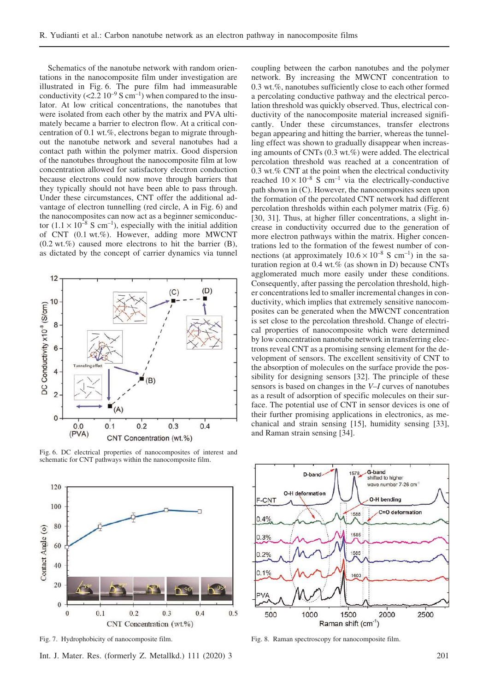Schematics of the nanotube network with random orientations in the nanocomposite film under investigation are illustrated in Fig. 6. The pure film had immeasurable conductivity ( $\langle 2.2 \times 10^{-9}$  S cm<sup>-1</sup>) when compared to the insulator. At low critical concentrations, the nanotubes that were isolated from each other by the matrix and PVA ultimately became a barrier to electron flow. At a critical concentration of 0.1 wt.%, electrons began to migrate throughout the nanotube network and several nanotubes had a contact path within the polymer matrix. Good dispersion of the nanotubes throughout the nanocomposite film at low concentration allowed for satisfactory electron conduction because electrons could now move through barriers that they typically should not have been able to pass through. Under these circumstances, CNT offer the additional advantage of electron tunnelling (red circle, A in Fig. 6) and the nanocomposites can now act as a beginner semiconductor  $(1.1 \times 10^{-8} \text{ S cm}^{-1})$ , especially with the initial addition of CNT (0.1 wt.%). However, adding more MWCNT  $(0.2 \text{ wt.}\%)$  caused more electrons to hit the barrier  $(B)$ , as dictated by the concept of carrier dynamics via tunnel



Fig. 6. DC electrical properties of nanocomposites of interest and schematic for CNT pathways within the nanocomposite film.



Int. J. Mater. Res. (formerly Z. Metallkd.) 111 (2020) 3 201

coupling between the carbon nanotubes and the polymer network. By increasing the MWCNT concentration to 0.3 wt.%, nanotubes sufficiently close to each other formed a percolating conductive pathway and the electrical percolation threshold was quickly observed. Thus, electrical conductivity of the nanocomposite material increased significantly. Under these circumstances, transfer electrons began appearing and hitting the barrier, whereas the tunnelling effect was shown to gradually disappear when increasing amounts of CNTs (0.3 wt.%) were added. The electrical percolation threshold was reached at a concentration of 0.3 wt.% CNT at the point when the electrical conductivity reached  $10 \times 10^{-8}$  S cm<sup>-1</sup> via the electrically-conductive path shown in (C). However, the nanocomposites seen upon the formation of the percolated CNT network had different percolation thresholds within each polymer matrix (Fig. 6) [30, 31]. Thus, at higher filler concentrations, a slight increase in conductivity occurred due to the generation of more electron pathways within the matrix. Higher concentrations led to the formation of the fewest number of connections (at approximately  $10.6 \times 10^{-8}$  S cm<sup>-1</sup>) in the saturation region at 0.4 wt.% (as shown in D) because CNTs agglomerated much more easily under these conditions. Consequently, after passing the percolation threshold, higher concentrations led to smaller incremental changes in conductivity, which implies that extremely sensitive nanocomposites can be generated when the MWCNT concentration is set close to the percolation threshold. Change of electrical properties of nanocomposite which were determined by low concentration nanotube network in transferring electrons reveal CNT as a promising sensing element for the development of sensors. The excellent sensitivity of CNT to the absorption of molecules on the surface provide the possibility for designing sensors [32]. The principle of these sensors is based on changes in the V–I curves of nanotubes as a result of adsorption of specific molecules on their surface. The potential use of CNT in sensor devices is one of their further promising applications in electronics, as mechanical and strain sensing [15], humidity sensing [33], and Raman strain sensing [34].



Fig. 7. Hydrophobicity of nanocomposite film. Fig. 8. Raman spectroscopy for nanocomposite film.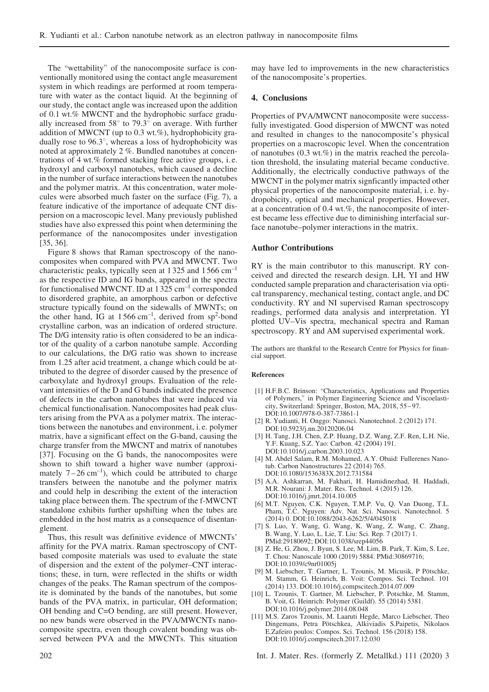The "wettability" of the nanocomposite surface is conventionally monitored using the contact angle measurement system in which readings are performed at room temperature with water as the contact liquid. At the beginning of our study, the contact angle was increased upon the addition of 0.1 wt.% MWCNT and the hydrophobic surface gradually increased from  $58^\circ$  to  $79.3^\circ$  on average. With further addition of MWCNT (up to 0.3 wt.%), hydrophobicity gradually rose to  $96.3^{\circ}$ , whereas a loss of hydrophobicity was noted at approximately 2 %. Bundled nanotubes at concentrations of 4 wt.% formed stacking free active groups, i. e. hydroxyl and carboxyl nanotubes, which caused a decline in the number of surface interactions between the nanotubes and the polymer matrix. At this concentration, water molecules were absorbed much faster on the surface (Fig. 7), a feature indicative of the importance of adequate CNT dispersion on a macroscopic level. Many previously published studies have also expressed this point when determining the performance of the nanocomposites under investigation [35, 36].

Figure 8 shows that Raman spectroscopy of the nanocomposites when compared with PVA and MWCNT. Two characteristic peaks, typically seen at 1 325 and 1 566 cm–1 as the respective ID and IG bands, appeared in the spectra for functionalised MWCNT. ID at 1 325 cm–1 corresponded to disordered graphite, an amorphous carbon or defective structure typically found on the sidewalls of MWNTs; on the other hand, IG at  $1566 \text{ cm}^{-1}$ , derived from sp<sup>2</sup>-bond crystalline carbon, was an indication of ordered structure. The D/G intensity ratio is often considered to be an indicator of the quality of a carbon nanotube sample. According to our calculations, the D/G ratio was shown to increase from 1.25 after acid treatment, a change which could be attributed to the degree of disorder caused by the presence of carboxylate and hydroxyl groups. Evaluation of the relevant intensities of the D and G bands indicated the presence of defects in the carbon nanotubes that were induced via chemical functionalisation. Nanocomposites had peak clusters arising from the PVA as a polymer matrix. The interactions between the nanotubes and environment, i. e. polymer matrix, have a significant effect on the G-band, causing the charge transfer from the MWCNT and matrix of nanotubes [37]. Focusing on the G bands, the nanocomposites were shown to shift toward a higher wave number (approximately  $7-26$  cm<sup>-1</sup>), which could be attributed to charge transfers between the nanotube and the polymer matrix and could help in describing the extent of the interaction taking place between them. The spectrum of the f-MWCNT standalone exhibits further upshifting when the tubes are embedded in the host matrix as a consequence of disentanglement.

Thus, this result was definitive evidence of MWCNTs' affinity for the PVA matrix. Raman spectroscopy of CNTbased composite materials was used to evaluate the state of dispersion and the extent of the polymer–CNT interactions; these, in turn, were reflected in the shifts or width changes of the peaks. The Raman spectrum of the composite is dominated by the bands of the nanotubes, but some bands of the PVA matrix, in particular, OH deformation; OH bending and C=O bending, are still present. However, no new bands were observed in the PVA/MWCNTs nanocomposite spectra, even though covalent bonding was observed between PVA and the MWCNTs. This situation may have led to improvements in the new characteristics of the nanocomposite's properties.

### 4. Conclusions

Properties of PVA/MWCNT nanocomposite were successfully investigated. Good dispersion of MWCNT was noted and resulted in changes to the nanocomposite's physical properties on a macroscopic level. When the concentration of nanotubes  $(0.3 \text{ wt.} \%)$  in the matrix reached the percolation threshold, the insulating material became conductive. Additionally, the electrically conductive pathways of the MWCNT in the polymer matrix signficantly impacted other physical properties of the nanocomposite material, i. e. hydropobicity, optical and mechanical properties. However, at a concentration of 0.4 wt.%, the nanocomposite of interest became less effective due to diminishing interfacial surface nanotube–polymer interactions in the matrix.

### Author Contributions

RY is the main contributor to this manuscript. RY conceived and directed the research design. LH, YI and HW conducted sample preparation and characterisation via optical transparency, mechanical testing, contact angle, and DC conductivity. RY and NI supervised Raman spectroscopy readings, performed data analysis and interpretation. YI plotted UV–Vis spectra, mechanical spectra and Raman spectroscopy. RY and AM supervised experimental work.

The authors are thankful to the Research Centre for Physics for financial support.

### References

- [1] H.F.B.C. Brinson: "Characteristics, Applications and Properties of Polymers," in Polymer Engineering Science and Viscoelasticity, Switzerland: Springer, Boston, MA, 2018, 55 – 97. DOI:10.1007/978-0-387-73861-1
- [2] R. Yudianti, H. Onggo: Nanosci. Nanotechnol. 2 (2012) 171. DOI:10.5923/j.nn.20120206.04
- [3] H. Tang, J.H. Chen, Z.P. Huang, D.Z. Wang, Z.F. Ren, L.H. Nie, Y.F. Kuang, S.Z. Yao: Carbon. 42 (2004) 191. DOI:10.1016/j.carbon.2003.10.023
- [4] M. Abdel Salam, R.M. Mohamed, A.Y. Obaid: Fullerenes Nanotub. Carbon Nanostructures 22 (2014) 765. DOI:10.1080/1536383X.2012.731584
- [5] A.A. Ashkarran, M. Fakhari, H. Hamidinezhad, H. Haddadi, M.R. Nourani: J. Mater. Res. Technol. 4 (2015) 126. DOI:10.1016/j.jmrt.2014.10.005
- [6] M.T. Nguyen, C.K. Nguyen, T.M.P. Vu, Q. Van Duong, T.L. Pham, T.C. Nguyen: Adv. Nat. Sci. Nanosci. Nanotechnol. 5 (2014) 0. DOI:10.1088/2043-6262/5/4/045018
- [7] S. Luo, Y. Wang, G. Wang, K. Wang, Z. Wang, C. Zhang, B. Wang, Y. Luo, L. Lie, T. Liu: Sci. Rep. 7 (2017) 1. PMid:29180692; DOI:10.1038/srep44056
- [8] Z. He, G. Zhou, J. Byun, S. Lee, M. Lim, B. Park, T. Kim, S. Lee, T. Chou: Nanoscale 1000 (2019) 5884. PMid:30869716; DOI:10.1039/c9nr01005j
- [9] M. Liebscher, T. Gartner, L. Tzounis, M. Micusik, P Pötschke, M. Stamm, G. Heinrich, B. Voit: Compos. Sci. Technol. 101 (2014) 133. DOI:10.1016/j.compscitech.2014.07.009
- [10] L. Tzounis, T. Gartner, M. Liebscher, P. Potschke, M. Stamm, B. Voit, G. Heinrich: Polymer (Guildf). 55 (2014) 5381. DOI:10.1016/j.polymer.2014.08.048
- [11] M.S. Zaros Tzounis, M. Laaruti Hegde, Marco Liebscher, Theo Dingemans, Petra Pötschkea, Alkiviadis S.Paipetis, Nikolaos E.Zafeiro poulos: Compos. Sci. Technol. 156 (2018) 158. DOI:10.1016/j.compscitech.2017.12.030